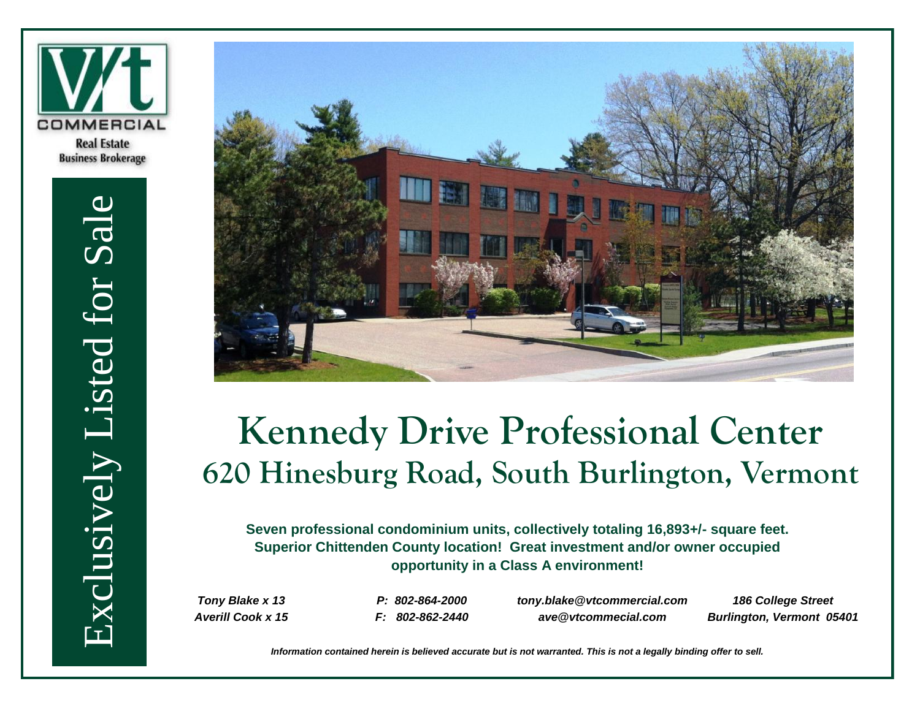

Exclusively Listed for Sale Exclusively Listed for Sale



# **Kennedy Drive Professional Center 620 Hinesburg Road, South Burlington, Vermont**

**Seven professional condominium units, collectively totaling 16,893+/- square feet. Superior Chittenden County location! Great investment and/or owner occupied opportunity in a Class A environment!** 

*Tony Blake x 13 Averill Cook x 15*

*P: 802-864-2000 F: 802-862-2440* *tony.blake@vtcommercial.com ave@vtcommecial.com*

*186 College Street Burlington, Vermont 05401*

*Information contained herein is believed accurate but is not warranted. This is not a legally binding offer to sell.*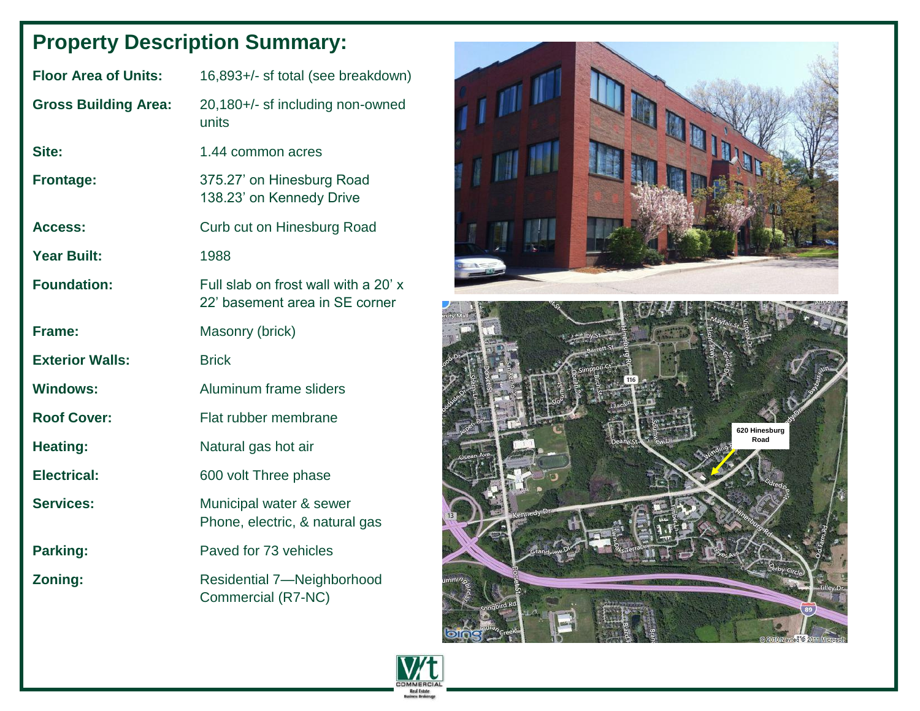# **Property Description Summary:**

| <b>Floor Area of Units:</b> | 16,893+/- sf total (see breakdown)                                     |  |  |
|-----------------------------|------------------------------------------------------------------------|--|--|
| <b>Gross Building Area:</b> | 20,180+/- sf including non-owned<br>units                              |  |  |
| Site:                       | 1.44 common acres                                                      |  |  |
| <b>Frontage:</b>            | 375.27' on Hinesburg Road<br>138.23' on Kennedy Drive                  |  |  |
| Access:                     | Curb cut on Hinesburg Road                                             |  |  |
| <b>Year Built:</b>          | 1988                                                                   |  |  |
| <b>Foundation:</b>          | Full slab on frost wall with a 20' x<br>22' basement area in SE corner |  |  |
| Frame:                      | Masonry (brick)                                                        |  |  |
| <b>Exterior Walls:</b>      | <b>Brick</b>                                                           |  |  |
| <b>Windows:</b>             | Aluminum frame sliders                                                 |  |  |
| <b>Roof Cover:</b>          | Flat rubber membrane                                                   |  |  |
| <b>Heating:</b>             | Natural gas hot air                                                    |  |  |
| <b>Electrical:</b>          | 600 volt Three phase                                                   |  |  |
| <b>Services:</b>            | Municipal water & sewer<br>Phone, electric, & natural gas              |  |  |
| Parking:                    | Paved for 73 vehicles                                                  |  |  |
| Zoning:                     | <b>Residential 7-Neighborhood</b><br>Commercial (R7-NC)                |  |  |



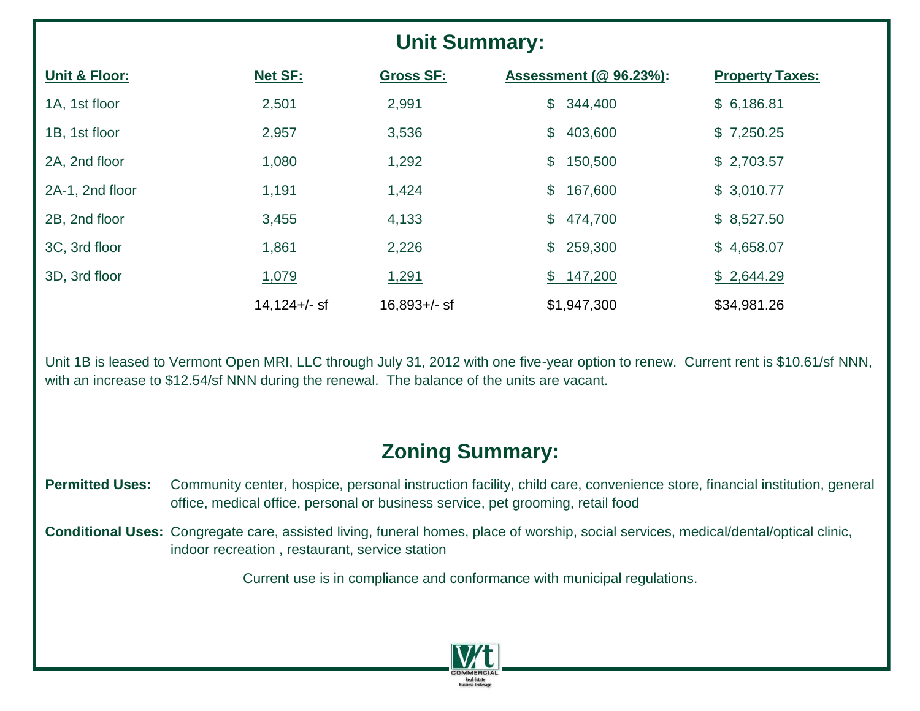# **Unit Summary:**

| <b>Unit &amp; Floor:</b> | <b>Net SF:</b>  | <b>Gross SF:</b> | Assessment (@ 96.23%):    | <b>Property Taxes:</b> |
|--------------------------|-----------------|------------------|---------------------------|------------------------|
| 1A, 1st floor            | 2,501           | 2,991            | \$344,400                 | \$6,186.81             |
| 1B, 1st floor            | 2,957           | 3,536            | $\mathcal{L}$<br>403,600  | \$7,250.25             |
| 2A, 2nd floor            | 1,080           | 1,292            | $\mathbb{S}$<br>150,500   | \$2,703.57             |
| 2A-1, 2nd floor          | 1,191           | 1,424            | $\mathfrak{S}$<br>167,600 | \$3,010.77             |
| 2B, 2nd floor            | 3,455           | 4,133            | $\mathbb{S}$<br>474,700   | \$8,527.50             |
| 3C, 3rd floor            | 1,861           | 2,226            | \$259,300                 | \$4,658.07             |
| 3D, 3rd floor            | 1,079           | 1,291            | \$147,200                 | \$2,644.29             |
|                          | $14,124 +/-$ sf | $16,893 +/-$ sf  | \$1,947,300               | \$34,981.26            |

Unit 1B is leased to Vermont Open MRI, LLC through July 31, 2012 with one five-year option to renew. Current rent is \$10.61/sf NNN, with an increase to \$12.54/sf NNN during the renewal. The balance of the units are vacant.

## **Zoning Summary:**

- Permitted Uses: Community center, hospice, personal instruction facility, child care, convenience store, financial institution, general office, medical office, personal or business service, pet grooming, retail food
- **Conditional Uses:** Congregate care, assisted living, funeral homes, place of worship, social services, medical/dental/optical clinic, indoor recreation , restaurant, service station

Current use is in compliance and conformance with municipal regulations.

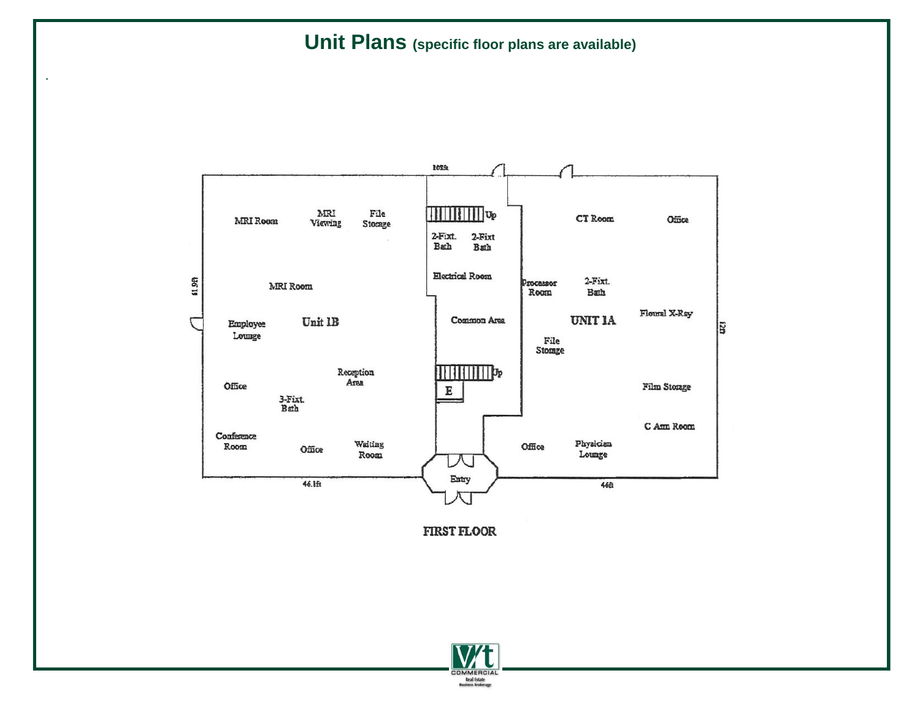### **Unit Plans (specific floor plans are available)**

.



**FIRST FLOOR** 

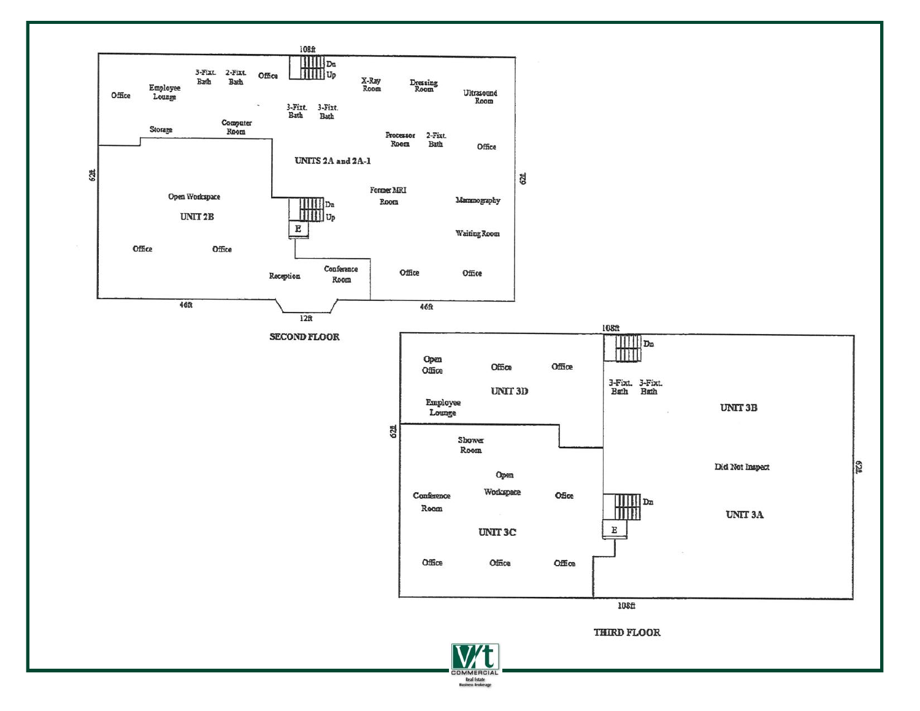